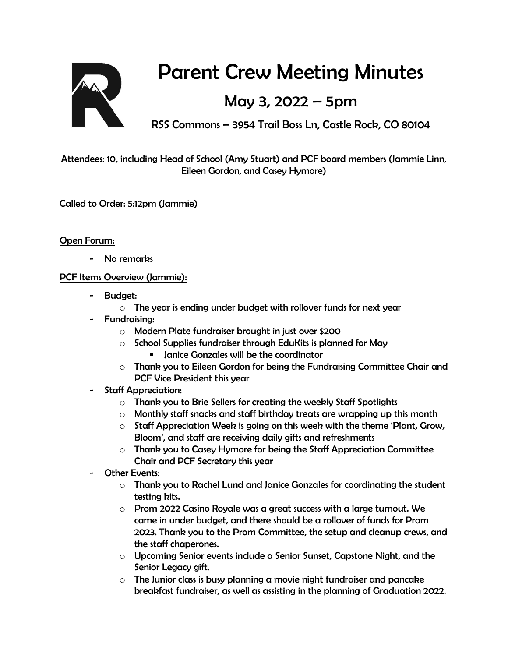

# Parent Crew Meeting Minutes

## May 3, 2022 – 5pm

RSS Commons – 3954 Trail Boss Ln, Castle Rock, CO 80104

Attendees: 10, including Head of School (Amy Stuart) and PCF board members (Jammie Linn, Eileen Gordon, and Casey Hymore)

Called to Order: 5:12pm (Jammie)

### Open Forum:

No remarks

#### PCF Items Overview (Jammie):

- Budget:
	- o The year is ending under budget with rollover funds for next year
- Fundraising:
	- o Modern Plate fundraiser brought in just over \$200
	- $\circ$  School Supplies fundraiser through EduKits is planned for May **EXP** Janice Gonzales will be the coordinator
	- o Thank you to Eileen Gordon for being the Fundraising Committee Chair and PCF Vice President this year
- Staff Appreciation:
	- o Thank you to Brie Sellers for creating the weekly Staff Spotlights
	- $\circ$  Monthly staff snacks and staff birthday treats are wrapping up this month
	- $\circ$  Staff Appreciation Week is going on this week with the theme 'Plant, Grow, Bloom', and staff are receiving daily gifts and refreshments
	- $\circ$  Thank you to Casey Hymore for being the Staff Appreciation Committee Chair and PCF Secretary this year
- Other Events:
	- $\circ$  Thank you to Rachel Lund and Janice Gonzales for coordinating the student testing kits.
	- $\circ$  Prom 2022 Casino Royale was a great success with a large turnout. We came in under budget, and there should be a rollover of funds for Prom 2023. Thank you to the Prom Committee, the setup and cleanup crews, and the staff chaperones.
	- $\circ$  Upcoming Senior events include a Senior Sunset, Capstone Night, and the Senior Legacy gift.
	- o The Junior class is busy planning a movie night fundraiser and pancake breakfast fundraiser, as well as assisting in the planning of Graduation 2022.